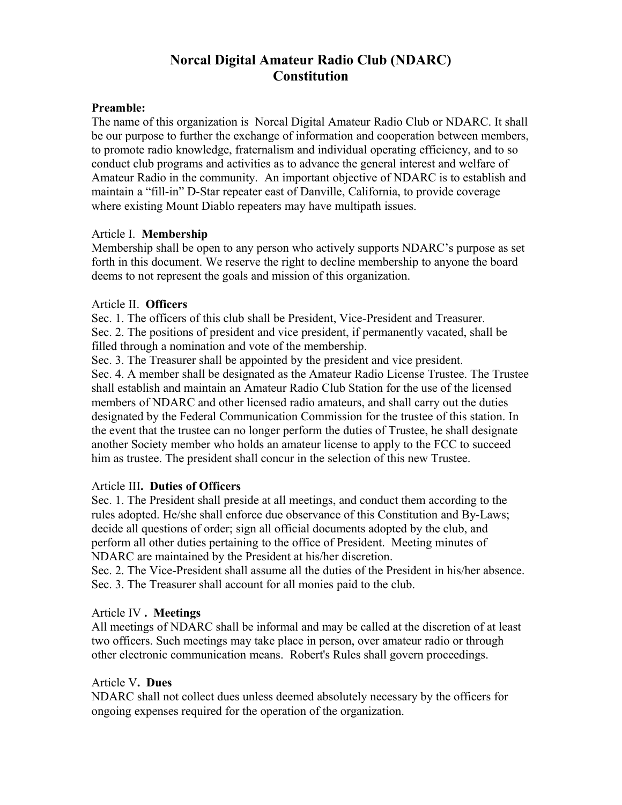# **Norcal Digital Amateur Radio Club (NDARC) Constitution**

### **Preamble:**

The name of this organization is Norcal Digital Amateur Radio Club or NDARC. It shall be our purpose to further the exchange of information and cooperation between members, to promote radio knowledge, fraternalism and individual operating efficiency, and to so conduct club programs and activities as to advance the general interest and welfare of Amateur Radio in the community. An important objective of NDARC is to establish and maintain a "fill-in" D-Star repeater east of Danville, California, to provide coverage where existing Mount Diablo repeaters may have multipath issues.

### Article I. **Membership**

Membership shall be open to any person who actively supports NDARC's purpose as set forth in this document. We reserve the right to decline membership to anyone the board deems to not represent the goals and mission of this organization.

### Article II. **Officers**

Sec. 1. The officers of this club shall be President, Vice-President and Treasurer. Sec. 2. The positions of president and vice president, if permanently vacated, shall be filled through a nomination and vote of the membership.

Sec. 3. The Treasurer shall be appointed by the president and vice president.

Sec. 4. A member shall be designated as the Amateur Radio License Trustee. The Trustee shall establish and maintain an Amateur Radio Club Station for the use of the licensed members of NDARC and other licensed radio amateurs, and shall carry out the duties designated by the Federal Communication Commission for the trustee of this station. In the event that the trustee can no longer perform the duties of Trustee, he shall designate another Society member who holds an amateur license to apply to the FCC to succeed him as trustee. The president shall concur in the selection of this new Trustee.

## Article III**. Duties of Officers**

Sec. 1. The President shall preside at all meetings, and conduct them according to the rules adopted. He/she shall enforce due observance of this Constitution and By-Laws; decide all questions of order; sign all official documents adopted by the club, and perform all other duties pertaining to the office of President. Meeting minutes of NDARC are maintained by the President at his/her discretion.

Sec. 2. The Vice-President shall assume all the duties of the President in his/her absence. Sec. 3. The Treasurer shall account for all monies paid to the club.

## Article IV **. Meetings**

All meetings of NDARC shall be informal and may be called at the discretion of at least two officers. Such meetings may take place in person, over amateur radio or through other electronic communication means. Robert's Rules shall govern proceedings.

## Article V**. Dues**

NDARC shall not collect dues unless deemed absolutely necessary by the officers for ongoing expenses required for the operation of the organization.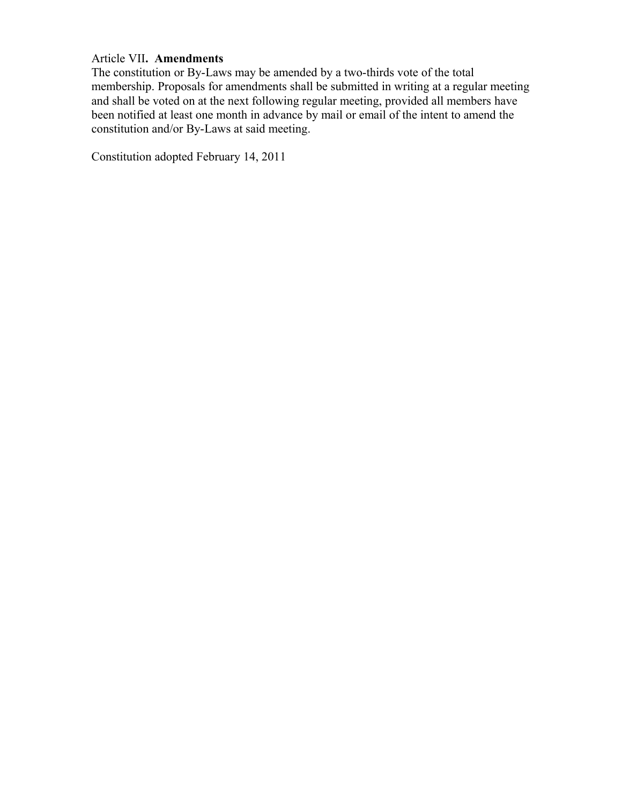### Article VII**. Amendments**

The constitution or By-Laws may be amended by a two-thirds vote of the total membership. Proposals for amendments shall be submitted in writing at a regular meeting and shall be voted on at the next following regular meeting, provided all members have been notified at least one month in advance by mail or email of the intent to amend the constitution and/or By-Laws at said meeting.

Constitution adopted February 14, 2011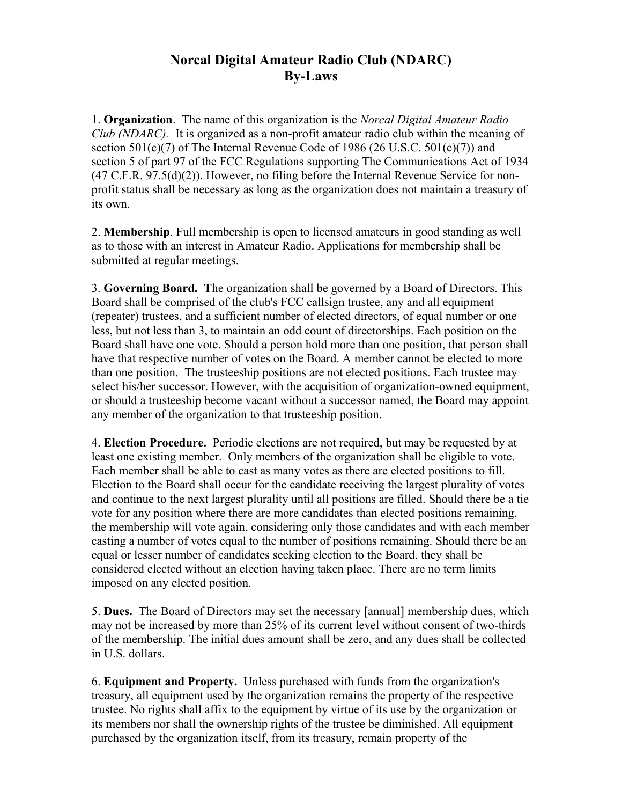## **Norcal Digital Amateur Radio Club (NDARC) By-Laws**

1. **Organization**. The name of this organization is the *Norcal Digital Amateur Radio Club (NDARC).* It is organized as a non-profit amateur radio club within the meaning of section  $501(c)(7)$  of The Internal Revenue Code of 1986 (26 U.S.C.  $501(c)(7)$ ) and section 5 of part 97 of the FCC Regulations supporting The Communications Act of 1934  $(47 \text{ C.F.R. } 97.5(d)(2))$ . However, no filing before the Internal Revenue Service for nonprofit status shall be necessary as long as the organization does not maintain a treasury of its own.

2. **Membership**. Full membership is open to licensed amateurs in good standing as well as to those with an interest in Amateur Radio. Applications for membership shall be submitted at regular meetings.

3. **Governing Board. T**he organization shall be governed by a Board of Directors. This Board shall be comprised of the club's FCC callsign trustee, any and all equipment (repeater) trustees, and a sufficient number of elected directors, of equal number or one less, but not less than 3, to maintain an odd count of directorships. Each position on the Board shall have one vote. Should a person hold more than one position, that person shall have that respective number of votes on the Board. A member cannot be elected to more than one position. The trusteeship positions are not elected positions. Each trustee may select his/her successor. However, with the acquisition of organization-owned equipment, or should a trusteeship become vacant without a successor named, the Board may appoint any member of the organization to that trusteeship position.

4. **Election Procedure.** Periodic elections are not required, but may be requested by at least one existing member. Only members of the organization shall be eligible to vote. Each member shall be able to cast as many votes as there are elected positions to fill. Election to the Board shall occur for the candidate receiving the largest plurality of votes and continue to the next largest plurality until all positions are filled. Should there be a tie vote for any position where there are more candidates than elected positions remaining, the membership will vote again, considering only those candidates and with each member casting a number of votes equal to the number of positions remaining. Should there be an equal or lesser number of candidates seeking election to the Board, they shall be considered elected without an election having taken place. There are no term limits imposed on any elected position.

5. **Dues.** The Board of Directors may set the necessary [annual] membership dues, which may not be increased by more than 25% of its current level without consent of two-thirds of the membership. The initial dues amount shall be zero, and any dues shall be collected in U.S. dollars.

6. **Equipment and Property.** Unless purchased with funds from the organization's treasury, all equipment used by the organization remains the property of the respective trustee. No rights shall affix to the equipment by virtue of its use by the organization or its members nor shall the ownership rights of the trustee be diminished. All equipment purchased by the organization itself, from its treasury, remain property of the